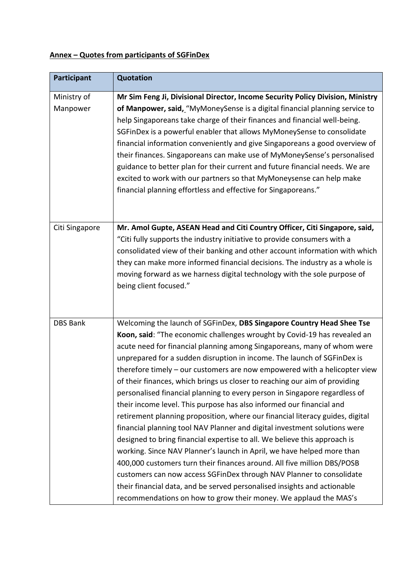## **Annex – Quotes from participants of SGFinDex**

| Participant     | <b>Quotation</b>                                                                                                                                                                                                                                                                                                                                                                                                                                                                                                                                                                                                        |
|-----------------|-------------------------------------------------------------------------------------------------------------------------------------------------------------------------------------------------------------------------------------------------------------------------------------------------------------------------------------------------------------------------------------------------------------------------------------------------------------------------------------------------------------------------------------------------------------------------------------------------------------------------|
| Ministry of     | Mr Sim Feng Ji, Divisional Director, Income Security Policy Division, Ministry                                                                                                                                                                                                                                                                                                                                                                                                                                                                                                                                          |
| Manpower        | of Manpower, said, "MyMoneySense is a digital financial planning service to<br>help Singaporeans take charge of their finances and financial well-being.<br>SGFinDex is a powerful enabler that allows MyMoneySense to consolidate<br>financial information conveniently and give Singaporeans a good overview of<br>their finances. Singaporeans can make use of MyMoneySense's personalised<br>guidance to better plan for their current and future financial needs. We are<br>excited to work with our partners so that MyMoneysense can help make<br>financial planning effortless and effective for Singaporeans." |
| Citi Singapore  | Mr. Amol Gupte, ASEAN Head and Citi Country Officer, Citi Singapore, said,                                                                                                                                                                                                                                                                                                                                                                                                                                                                                                                                              |
|                 | "Citi fully supports the industry initiative to provide consumers with a                                                                                                                                                                                                                                                                                                                                                                                                                                                                                                                                                |
|                 | consolidated view of their banking and other account information with which                                                                                                                                                                                                                                                                                                                                                                                                                                                                                                                                             |
|                 | they can make more informed financial decisions. The industry as a whole is                                                                                                                                                                                                                                                                                                                                                                                                                                                                                                                                             |
|                 | moving forward as we harness digital technology with the sole purpose of                                                                                                                                                                                                                                                                                                                                                                                                                                                                                                                                                |
|                 | being client focused."                                                                                                                                                                                                                                                                                                                                                                                                                                                                                                                                                                                                  |
|                 |                                                                                                                                                                                                                                                                                                                                                                                                                                                                                                                                                                                                                         |
| <b>DBS Bank</b> | Welcoming the launch of SGFinDex, DBS Singapore Country Head Shee Tse                                                                                                                                                                                                                                                                                                                                                                                                                                                                                                                                                   |
|                 | Koon, said: "The economic challenges wrought by Covid-19 has revealed an                                                                                                                                                                                                                                                                                                                                                                                                                                                                                                                                                |
|                 | acute need for financial planning among Singaporeans, many of whom were                                                                                                                                                                                                                                                                                                                                                                                                                                                                                                                                                 |
|                 | unprepared for a sudden disruption in income. The launch of SGFinDex is                                                                                                                                                                                                                                                                                                                                                                                                                                                                                                                                                 |
|                 | therefore timely - our customers are now empowered with a helicopter view                                                                                                                                                                                                                                                                                                                                                                                                                                                                                                                                               |
|                 | of their finances, which brings us closer to reaching our aim of providing                                                                                                                                                                                                                                                                                                                                                                                                                                                                                                                                              |
|                 | personalised financial planning to every person in Singapore regardless of                                                                                                                                                                                                                                                                                                                                                                                                                                                                                                                                              |
|                 | their income level. This purpose has also informed our financial and                                                                                                                                                                                                                                                                                                                                                                                                                                                                                                                                                    |
|                 | retirement planning proposition, where our financial literacy guides, digital                                                                                                                                                                                                                                                                                                                                                                                                                                                                                                                                           |
|                 | financial planning tool NAV Planner and digital investment solutions were                                                                                                                                                                                                                                                                                                                                                                                                                                                                                                                                               |
|                 | designed to bring financial expertise to all. We believe this approach is                                                                                                                                                                                                                                                                                                                                                                                                                                                                                                                                               |
|                 | working. Since NAV Planner's launch in April, we have helped more than                                                                                                                                                                                                                                                                                                                                                                                                                                                                                                                                                  |
|                 | 400,000 customers turn their finances around. All five million DBS/POSB                                                                                                                                                                                                                                                                                                                                                                                                                                                                                                                                                 |
|                 | customers can now access SGFinDex through NAV Planner to consolidate                                                                                                                                                                                                                                                                                                                                                                                                                                                                                                                                                    |
|                 | their financial data, and be served personalised insights and actionable                                                                                                                                                                                                                                                                                                                                                                                                                                                                                                                                                |
|                 | recommendations on how to grow their money. We applaud the MAS's                                                                                                                                                                                                                                                                                                                                                                                                                                                                                                                                                        |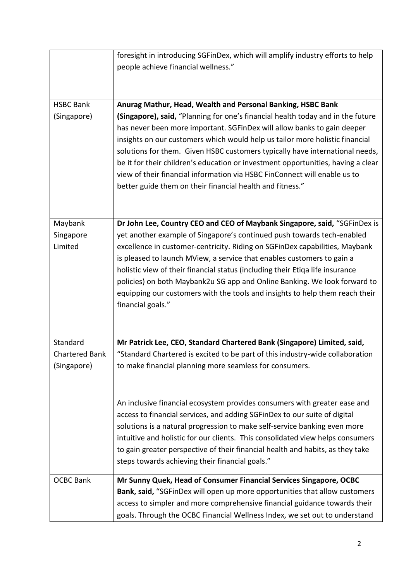|                       | foresight in introducing SGFinDex, which will amplify industry efforts to help                    |
|-----------------------|---------------------------------------------------------------------------------------------------|
|                       | people achieve financial wellness."                                                               |
|                       |                                                                                                   |
| <b>HSBC Bank</b>      | Anurag Mathur, Head, Wealth and Personal Banking, HSBC Bank                                       |
| (Singapore)           | (Singapore), said, "Planning for one's financial health today and in the future                   |
|                       | has never been more important. SGFinDex will allow banks to gain deeper                           |
|                       | insights on our customers which would help us tailor more holistic financial                      |
|                       | solutions for them. Given HSBC customers typically have international needs,                      |
|                       | be it for their children's education or investment opportunities, having a clear                  |
|                       | view of their financial information via HSBC FinConnect will enable us to                         |
|                       | better guide them on their financial health and fitness."                                         |
|                       |                                                                                                   |
| Maybank               | Dr John Lee, Country CEO and CEO of Maybank Singapore, said, "SGFinDex is                         |
| Singapore             | yet another example of Singapore's continued push towards tech-enabled                            |
| Limited               | excellence in customer-centricity. Riding on SGFinDex capabilities, Maybank                       |
|                       | is pleased to launch MView, a service that enables customers to gain a                            |
|                       | holistic view of their financial status (including their Etiqa life insurance                     |
|                       | policies) on both Maybank2u SG app and Online Banking. We look forward to                         |
|                       | equipping our customers with the tools and insights to help them reach their<br>financial goals." |
|                       |                                                                                                   |
|                       |                                                                                                   |
| Standard              | Mr Patrick Lee, CEO, Standard Chartered Bank (Singapore) Limited, said,                           |
| <b>Chartered Bank</b> | "Standard Chartered is excited to be part of this industry-wide collaboration                     |
| (Singapore)           | to make financial planning more seamless for consumers.                                           |
|                       |                                                                                                   |
|                       | An inclusive financial ecosystem provides consumers with greater ease and                         |
|                       | access to financial services, and adding SGFinDex to our suite of digital                         |
|                       | solutions is a natural progression to make self-service banking even more                         |
|                       | intuitive and holistic for our clients. This consolidated view helps consumers                    |
|                       | to gain greater perspective of their financial health and habits, as they take                    |
|                       | steps towards achieving their financial goals."                                                   |
| <b>OCBC Bank</b>      | Mr Sunny Quek, Head of Consumer Financial Services Singapore, OCBC                                |
|                       | Bank, said, "SGFinDex will open up more opportunities that allow customers                        |
|                       | access to simpler and more comprehensive financial guidance towards their                         |
|                       | goals. Through the OCBC Financial Wellness Index, we set out to understand                        |